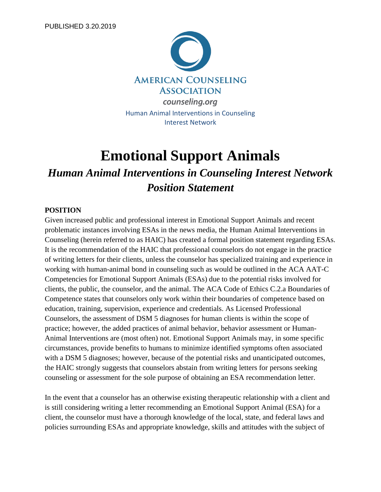

# **Emotional Support Animals**

## *Human Animal Interventions in Counseling Interest Network Position Statement*

## **POSITION**

Given increased public and professional interest in Emotional Support Animals and recent problematic instances involving ESAs in the news media, the Human Animal Interventions in Counseling (herein referred to as HAIC) has created a formal position statement regarding ESAs. It is the recommendation of the HAIC that professional counselors do not engage in the practice of writing letters for their clients, unless the counselor has specialized training and experience in working with human-animal bond in counseling such as would be outlined in the ACA AAT-C Competencies for Emotional Support Animals (ESAs) due to the potential risks involved for clients, the public, the counselor, and the animal. The ACA Code of Ethics C.2.a Boundaries of Competence states that counselors only work within their boundaries of competence based on education, training, supervision, experience and credentials. As Licensed Professional Counselors, the assessment of DSM 5 diagnoses for human clients is within the scope of practice; however, the added practices of animal behavior, behavior assessment or Human-Animal Interventions are (most often) not. Emotional Support Animals may, in some specific circumstances, provide benefits to humans to minimize identified symptoms often associated with a DSM 5 diagnoses; however, because of the potential risks and unanticipated outcomes, the HAIC strongly suggests that counselors abstain from writing letters for persons seeking counseling or assessment for the sole purpose of obtaining an ESA recommendation letter.

In the event that a counselor has an otherwise existing therapeutic relationship with a client and is still considering writing a letter recommending an Emotional Support Animal (ESA) for a client, the counselor must have a thorough knowledge of the local, state, and federal laws and policies surrounding ESAs and appropriate knowledge, skills and attitudes with the subject of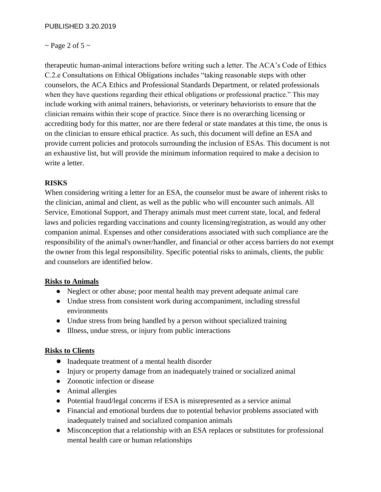## $\sim$  Page 2 of 5  $\sim$

therapeutic human-animal interactions before writing such a letter. The ACA's Code of Ethics C.2.e Consultations on Ethical Obligations includes "taking reasonable steps with other counselors, the ACA Ethics and Professional Standards Department, or related professionals when they have questions regarding their ethical obligations or professional practice." This may include working with animal trainers, behaviorists, or veterinary behaviorists to ensure that the clinician remains within their scope of practice. Since there is no overarching licensing or accrediting body for this matter, nor are there federal or state mandates at this time, the onus is on the clinician to ensure ethical practice. As such, this document will define an ESA and provide current policies and protocols surrounding the inclusion of ESAs. This document is not an exhaustive list, but will provide the minimum information required to make a decision to write a letter.

## **RISKS**

When considering writing a letter for an ESA, the counselor must be aware of inherent risks to the clinician, animal and client, as well as the public who will encounter such animals. All Service, Emotional Support, and Therapy animals must meet current state, local, and federal laws and policies regarding vaccinations and county licensing/registration, as would any other companion animal. Expenses and other considerations associated with such compliance are the responsibility of the animal's owner/handler, and financial or other access barriers do not exempt the owner from this legal responsibility. Specific potential risks to animals, clients, the public and counselors are identified below.

## **Risks to Animals**

- Neglect or other abuse; poor mental health may prevent adequate animal care
- Undue stress from consistent work during accompaniment, including stressful environments
- Undue stress from being handled by a person without specialized training
- Illness, undue stress, or injury from public interactions

### **Risks to Clients**

- Inadequate treatment of a mental health disorder
- Injury or property damage from an inadequately trained or socialized animal
- Zoonotic infection or disease
- Animal allergies
- Potential fraud/legal concerns if ESA is misrepresented as a service animal
- Financial and emotional burdens due to potential behavior problems associated with inadequately trained and socialized companion animals
- Misconception that a relationship with an ESA replaces or substitutes for professional mental health care or human relationships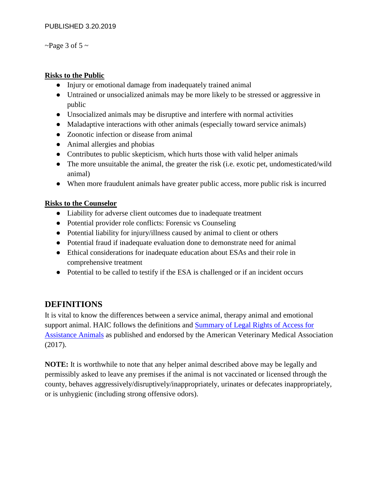~Page 3 of 5  $\sim$ 

## **Risks to the Public**

- Injury or emotional damage from inadequately trained animal
- Untrained or unsocialized animals may be more likely to be stressed or aggressive in public
- Unsocialized animals may be disruptive and interfere with normal activities
- Maladaptive interactions with other animals (especially toward service animals)
- Zoonotic infection or disease from animal
- Animal allergies and phobias
- Contributes to public skepticism, which hurts those with valid helper animals
- The more unsuitable the animal, the greater the risk (i.e. exotic pet, undomesticated/wild animal)
- When more fraudulent animals have greater public access, more public risk is incurred

## **Risks to the Counselor**

- Liability for adverse client outcomes due to inadequate treatment
- Potential provider role conflicts: Forensic vs Counseling
- Potential liability for injury/illness caused by animal to client or others
- Potential fraud if inadequate evaluation done to demonstrate need for animal
- Ethical considerations for inadequate education about ESAs and their role in comprehensive treatment
- Potential to be called to testify if the ESA is challenged or if an incident occurs

## **DEFINITIONS**

It is vital to know the differences between a service animal, therapy animal and emotional support animal. HAIC follows the definitions and [Summary of Legal Rights of Access for](file:///C:/Users/johnson2/AppData/Local/Temp/Assistance-Animals-Rights-Access-Fraud-AVMA.pdf)  [Assistance Animals](file:///C:/Users/johnson2/AppData/Local/Temp/Assistance-Animals-Rights-Access-Fraud-AVMA.pdf) as published and endorsed by the American Veterinary Medical Association (2017).

**NOTE:** It is worthwhile to note that any helper animal described above may be legally and permissibly asked to leave any premises if the animal is not vaccinated or licensed through the county, behaves aggressively/disruptively/inappropriately, urinates or defecates inappropriately, or is unhygienic (including strong offensive odors).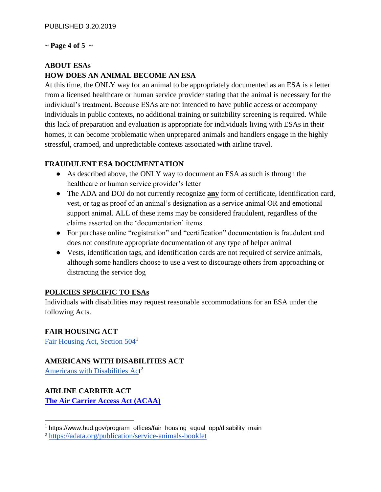#### $\sim$  Page 4 of 5  $\sim$

## **ABOUT ESAs HOW DOES AN ANIMAL BECOME AN ESA**

At this time, the ONLY way for an animal to be appropriately documented as an ESA is a letter from a licensed healthcare or human service provider stating that the animal is necessary for the individual's treatment. Because ESAs are not intended to have public access or accompany individuals in public contexts, no additional training or suitability screening is required. While this lack of preparation and evaluation is appropriate for individuals living with ESAs in their homes, it can become problematic when unprepared animals and handlers engage in the highly stressful, cramped, and unpredictable contexts associated with airline travel.

## **FRAUDULENT ESA DOCUMENTATION**

- As described above, the ONLY way to document an ESA as such is through the healthcare or human service provider's letter
- The ADA and DOJ do not currently recognize **any** form of certificate, identification card, vest, or tag as proof of an animal's designation as a service animal OR and emotional support animal. ALL of these items may be considered fraudulent, regardless of the claims asserted on the 'documentation' items.
- For purchase online "registration" and "certification" documentation is fraudulent and does not constitute appropriate documentation of any type of helper animal
- Vests, identification tags, and identification cards are not required of service animals, although some handlers choose to use a vest to discourage others from approaching or distracting the service dog

### **POLICIES SPECIFIC TO ESAs**

Individuals with disabilities may request reasonable accommodations for an ESA under the following Acts.

## **FAIR HOUSING ACT**

Fair Housing Act, Section  $504<sup>1</sup>$ 

### **AMERICANS WITH DISABILITIES ACT**

[Americans with Disabilities Act](https://adata.org/publication/service-animals-booklet)<sup>2</sup>

## **AIRLINE CARRIER ACT**

**[The Air Carrier Access Act \(ACAA\)](https://www.transportation.gov/individuals/aviation-consumer-protection/service-animals-including-emotional-support-animals)**

<sup>&</sup>lt;sup>1</sup> https://www.hud.gov/program\_offices/fair\_housing\_equal\_opp/disability\_main

<sup>2</sup> <https://adata.org/publication/service-animals-booklet>